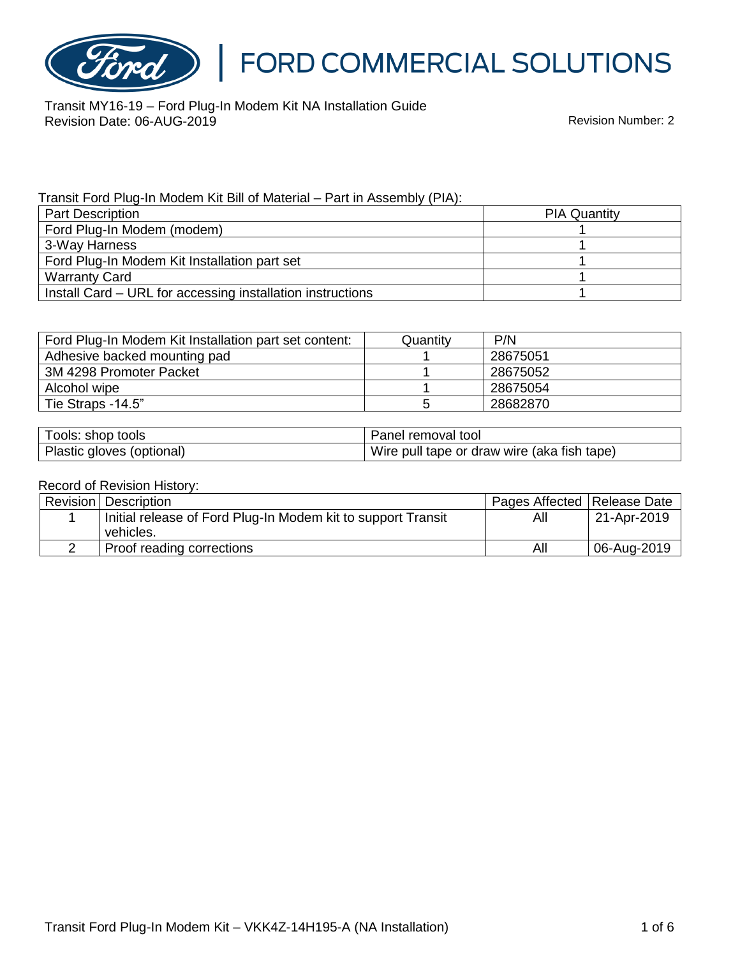

Transit MY16-19 – Ford Plug-In Modem Kit NA Installation Guide Revision Date: 06-AUG-2019

#### Transit Ford Plug-In Modem Kit Bill of Material – Part in Assembly (PIA):

| <b>Part Description</b>                                    | <b>PIA Quantity</b> |
|------------------------------------------------------------|---------------------|
| Ford Plug-In Modem (modem)                                 |                     |
| 3-Way Harness                                              |                     |
| Ford Plug-In Modem Kit Installation part set               |                     |
| <b>Warranty Card</b>                                       |                     |
| Install Card – URL for accessing installation instructions |                     |

| Ford Plug-In Modem Kit Installation part set content: | Quantity | P/N      |
|-------------------------------------------------------|----------|----------|
| Adhesive backed mounting pad                          |          | 28675051 |
| 3M 4298 Promoter Packet                               |          | 28675052 |
| Alcohol wipe                                          |          | 28675054 |
| Tie Straps -14.5"                                     |          | 28682870 |

| Tools: shop tools         | Panel removal tool                          |
|---------------------------|---------------------------------------------|
| Plastic gloves (optional) | Wire pull tape or draw wire (aka fish tape) |

#### Record of Revision History:

| Revision   Description                                       | Pages Affected   Release Date |             |
|--------------------------------------------------------------|-------------------------------|-------------|
| Initial release of Ford Plug-In Modem kit to support Transit | All                           | 21-Apr-2019 |
| vehicles.                                                    |                               |             |
| Proof reading corrections                                    | All                           | 06-Aug-2019 |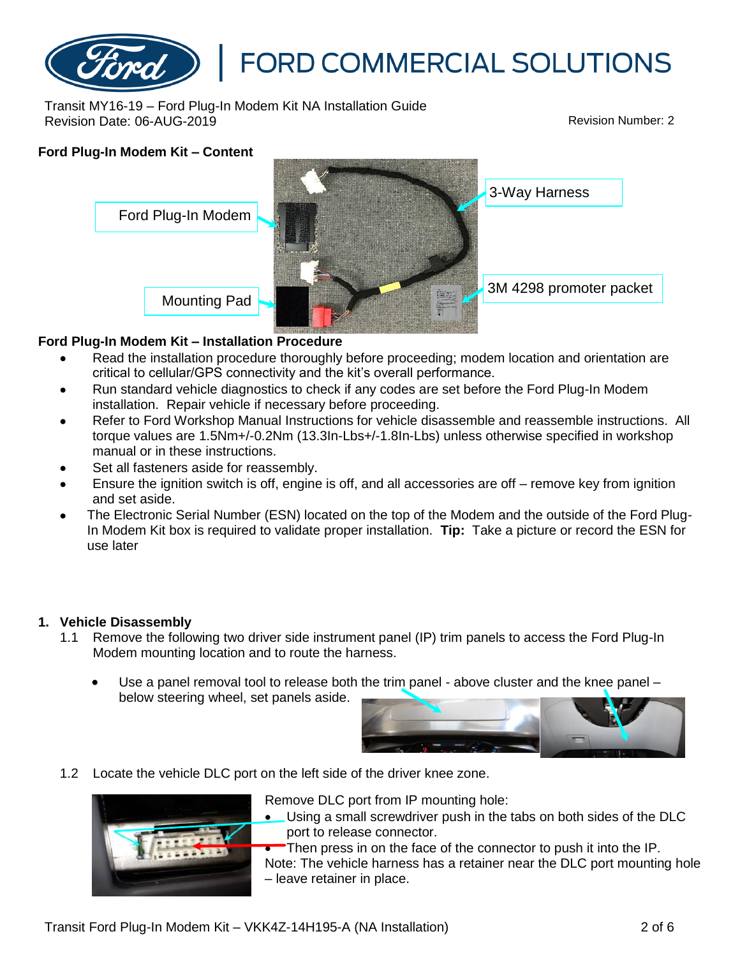

Transit MY16-19 – Ford Plug-In Modem Kit NA Installation Guide Revision Date: 06-AUG-2019 Revision Number: 2

# **Ford Plug-In Modem Kit – Content** Mounting Pad 3-Way Harness Ford Plug-In Modem 3M 4298 promoter packet

## **Ford Plug-In Modem Kit – Installation Procedure**

- Read the installation procedure thoroughly before proceeding; modem location and orientation are critical to cellular/GPS connectivity and the kit's overall performance.
- Run standard vehicle diagnostics to check if any codes are set before the Ford Plug-In Modem installation. Repair vehicle if necessary before proceeding.
- Refer to Ford Workshop Manual Instructions for vehicle disassemble and reassemble instructions. All torque values are 1.5Nm+/-0.2Nm (13.3In-Lbs+/-1.8In-Lbs) unless otherwise specified in workshop manual or in these instructions.
- Set all fasteners aside for reassembly.
- Ensure the ignition switch is off, engine is off, and all accessories are off remove key from ignition and set aside.
- The Electronic Serial Number (ESN) located on the top of the Modem and the outside of the Ford Plug-In Modem Kit box is required to validate proper installation. **Tip:** Take a picture or record the ESN for use later

## **1. Vehicle Disassembly**

- 1.1 Remove the following two driver side instrument panel (IP) trim panels to access the Ford Plug-In Modem mounting location and to route the harness.
	- Use a panel removal tool to release both the trim panel above cluster and the knee panel below steering wheel, set panels aside.



1.2 Locate the vehicle DLC port on the left side of the driver knee zone.



Remove DLC port from IP mounting hole:

• Using a small screwdriver push in the tabs on both sides of the DLC port to release connector.

Then press in on the face of the connector to push it into the IP. Note: The vehicle harness has a retainer near the DLC port mounting hole – leave retainer in place.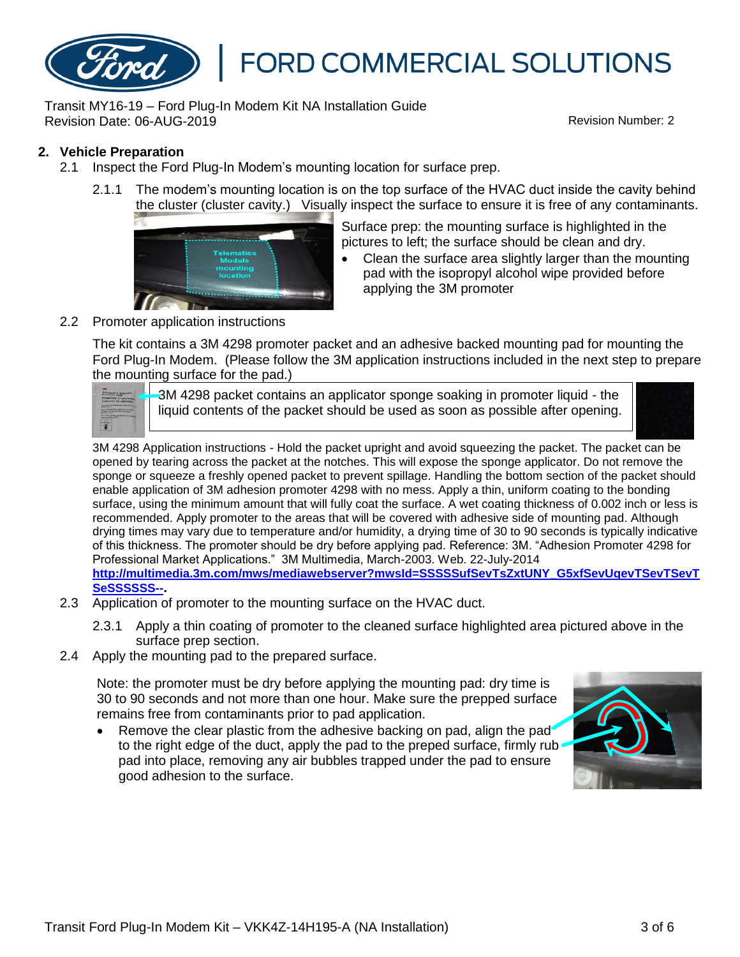

Transit MY16-19 – Ford Plug-In Modem Kit NA Installation Guide Revision Date: 06-AUG-2019 Revision Number: 2

## **2. Vehicle Preparation**

- 2.1 Inspect the Ford Plug-In Modem's mounting location for surface prep.
	- 2.1.1 The modem's mounting location is on the top surface of the HVAC duct inside the cavity behind the cluster (cluster cavity.) Visually inspect the surface to ensure it is free of any contaminants.



Surface prep: the mounting surface is highlighted in the pictures to left; the surface should be clean and dry.

• Clean the surface area slightly larger than the mounting pad with the isopropyl alcohol wipe provided before applying the 3M promoter

#### 2.2 Promoter application instructions

The kit contains a 3M 4298 promoter packet and an adhesive backed mounting pad for mounting the Ford Plug-In Modem. (Please follow the 3M application instructions included in the next step to prepare the mounting surface for the pad.)

3M 4298 packet contains an applicator sponge soaking in promoter liquid - the liquid contents of the packet should be used as soon as possible after opening.



3M 4298 Application instructions - Hold the packet upright and avoid squeezing the packet. The packet can be opened by tearing across the packet at the notches. This will expose the sponge applicator. Do not remove the sponge or squeeze a freshly opened packet to prevent spillage. Handling the bottom section of the packet should enable application of 3M adhesion promoter 4298 with no mess. Apply a thin, uniform coating to the bonding surface, using the minimum amount that will fully coat the surface. A wet coating thickness of 0.002 inch or less is recommended. Apply promoter to the areas that will be covered with adhesive side of mounting pad. Although drying times may vary due to temperature and/or humidity, a drying time of 30 to 90 seconds is typically indicative of this thickness. The promoter should be dry before applying pad. Reference: 3M. "Adhesion Promoter 4298 for Professional Market Applications." 3M Multimedia, March-2003. Web. 22-July-2014 **[http://multimedia.3m.com/mws/mediawebserver?mwsId=SSSSSufSevTsZxtUNY\\_G5xfSevUqevTSevTSevT](http://multimedia.3m.com/mws/mediawebserver?mwsId=SSSSSufSevTsZxtUNY_G5xfSevUqevTSevTSevTSeSSSSSS--) [SeSSSSSS--](http://multimedia.3m.com/mws/mediawebserver?mwsId=SSSSSufSevTsZxtUNY_G5xfSevUqevTSevTSevTSeSSSSSS--).**

- 2.3 Application of promoter to the mounting surface on the HVAC duct.
	- 2.3.1 Apply a thin coating of promoter to the cleaned surface highlighted area pictured above in the surface prep section.
- 2.4 Apply the mounting pad to the prepared surface.

Note: the promoter must be dry before applying the mounting pad: dry time is 30 to 90 seconds and not more than one hour. Make sure the prepped surface remains free from contaminants prior to pad application.

Remove the clear plastic from the adhesive backing on pad, align the pad to the right edge of the duct, apply the pad to the preped surface, firmly rub pad into place, removing any air bubbles trapped under the pad to ensure good adhesion to the surface.

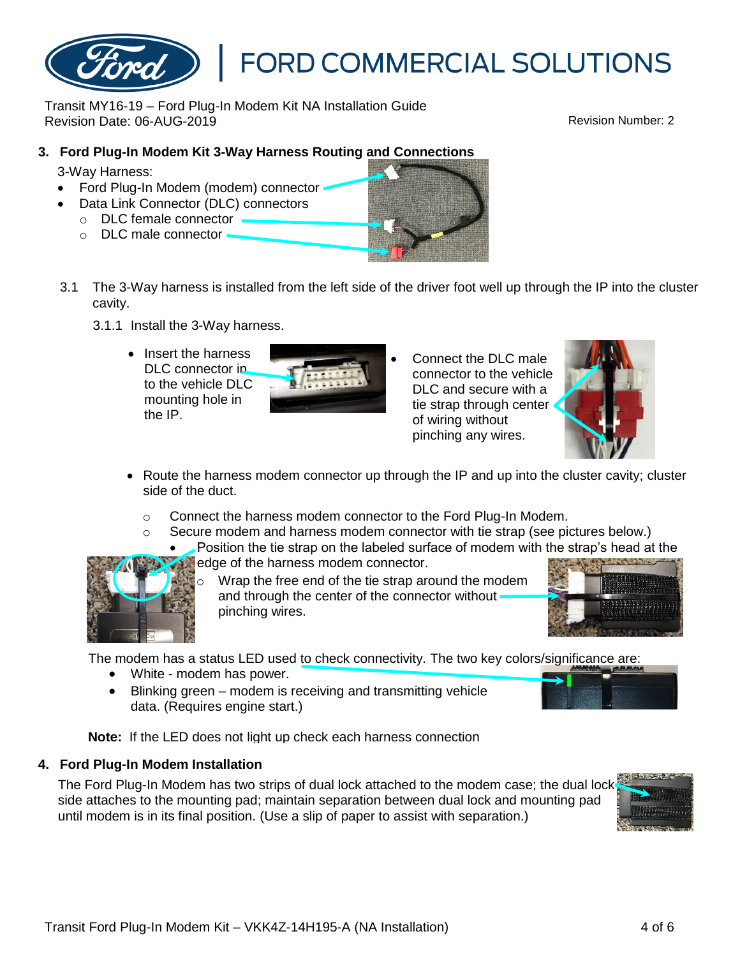

## **3. Ford Plug-In Modem Kit 3-Way Harness Routing and Connections**

3-Way Harness:

- Ford Plug-In Modem (modem) connector
- Data Link Connector (DLC) connectors
	- o DLC female connector
	- o DLC male connector
- 3.1 The 3-Way harness is installed from the left side of the driver foot well up through the IP into the cluster cavity.
	- 3.1.1 Install the 3-Way harness.
		- Insert the harness DLC connector in to the vehicle DLC mounting hole in the IP.

DLC and secure with a tie strap through center of wiring without pinching any wires.

• Connect the DLC male connector to the vehicle

- Route the harness modem connector up through the IP and up into the cluster cavity; cluster side of the duct.
	- o Connect the harness modem connector to the Ford Plug-In Modem.
	- o Secure modem and harness modem connector with tie strap (see pictures below.)
		- Position the tie strap on the labeled surface of modem with the strap's head at the
			- edge of the harness modem connector. Wrap the free end of the tie strap around the modem and through the center of the connector without

pinching wires.

The modem has a status LED used to check connectivity. The two key colors/significance are:

- White modem has power.
- Blinking green modem is receiving and transmitting vehicle data. (Requires engine start.)

**Note:** If the LED does not light up check each harness connection

## **4. Ford Plug-In Modem Installation**

The Ford Plug-In Modem has two strips of dual lock attached to the modem case; the dual lock side attaches to the mounting pad; maintain separation between dual lock and mounting pad until modem is in its final position. (Use a slip of paper to assist with separation.)

# **FORD COMMERCIAL SOLUTIONS**







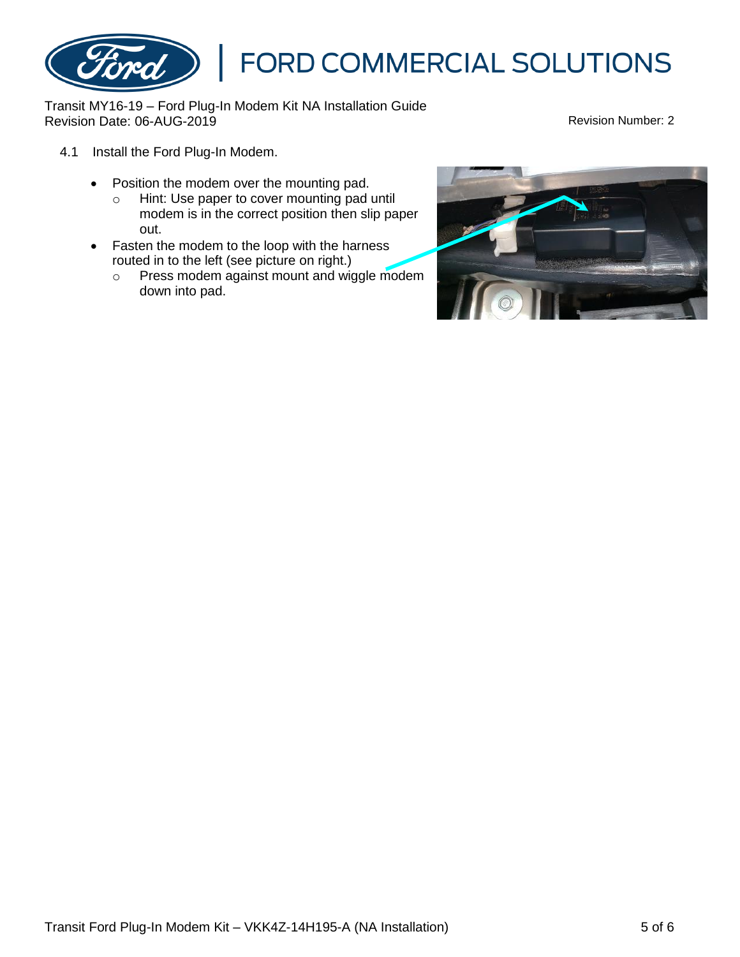

Transit MY16-19 – Ford Plug-In Modem Kit NA Installation Guide Revision Date: 06-AUG-2019

- 4.1 Install the Ford Plug-In Modem.
	- Position the modem over the mounting pad.
		- o Hint: Use paper to cover mounting pad until modem is in the correct position then slip paper out.
	- Fasten the modem to the loop with the harness routed in to the left (see picture on right.)
		- o Press modem against mount and wiggle modem down into pad.